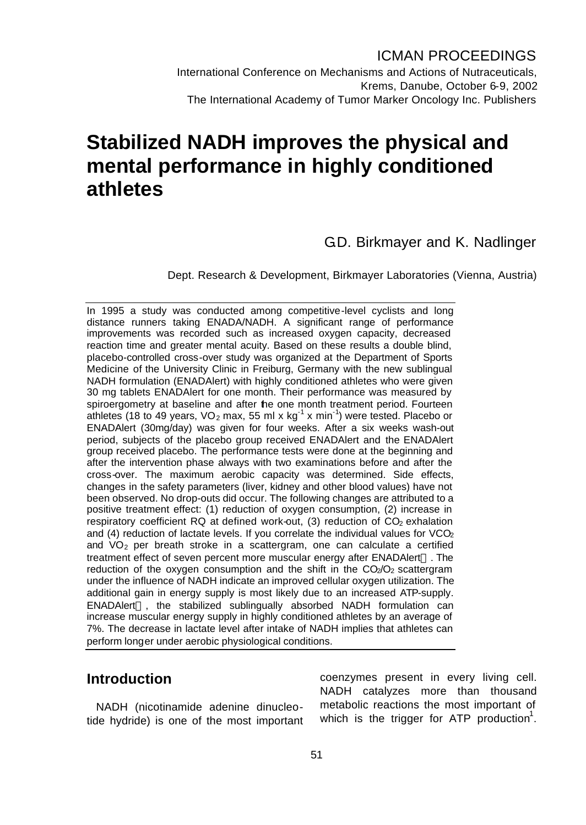#### ICMAN PROCEEDINGS

International Conference on Mechanisms and Actions of Nutraceuticals, Krems, Danube, October 6-9, 2002 The International Academy of Tumor Marker Oncology Inc. Publishers

# **Stabilized NADH improves the physical and mental performance in highly conditioned athletes**

G.D. Birkmayer and K. Nadlinger

Dept. Research & Development, Birkmayer Laboratories (Vienna, Austria)

In 1995 a study was conducted among competitive-level cyclists and long distance runners taking ENADA/NADH. A significant range of performance improvements was recorded such as increased oxygen capacity, decreased reaction time and greater mental acuity. Based on these results a double blind, placebo-controlled cross-over study was organized at the Department of Sports Medicine of the University Clinic in Freiburg, Germany with the new sublingual NADH formulation (ENADAlert) with highly conditioned athletes who were given 30 mg tablets ENADAlert for one month. Their performance was measured by spiroergometry at baseline and after the one month treatment period. Fourteen athletes (18 to 49 years, VO<sub>2</sub> max, 55 ml x kg<sup>-1</sup> x min<sup>-1</sup>) were tested. Placebo or ENADAlert (30mg/day) was given for four weeks. After a six weeks wash-out period, subjects of the placebo group received ENADAlert and the ENADAlert group received placebo. The performance tests were done at the beginning and after the intervention phase always with two examinations before and after the cross-over. The maximum aerobic capacity was determined. Side effects, changes in the safety parameters (liver, kidney and other blood values) have not been observed. No drop-outs did occur. The following changes are attributed to a positive treatment effect: (1) reduction of oxygen consumption, (2) increase in respiratory coefficient RQ at defined work-out,  $(3)$  reduction of  $CO<sub>2</sub>$  exhalation and (4) reduction of lactate levels. If you correlate the individual values for  $VCO<sub>2</sub>$ and  $VO<sub>2</sub>$  per breath stroke in a scattergram, one can calculate a certified treatment effect of seven percent more muscular energy after ENADAlert<sup>TM</sup>. The reduction of the oxygen consumption and the shift in the  $CO<sub>2</sub>/O<sub>2</sub>$  scattergram under the influence of NADH indicate an improved cellular oxygen utilization. The additional gain in energy supply is most likely due to an increased ATP-supply.  $ENADA$ lert<sup> $TM$ </sup>, the stabilized sublingually absorbed NADH formulation can increase muscular energy supply in highly conditioned athletes by an average of 7%. The decrease in lactate level after intake of NADH implies that athletes can perform longer under aerobic physiological conditions.

#### **Introduction**

NADH (nicotinamide adenine dinucleotide hydride) is one of the most important coenzymes present in every living cell. NADH catalyzes more than thousand metabolic reactions the most important of which is the trigger for ATP production<sup>1</sup>.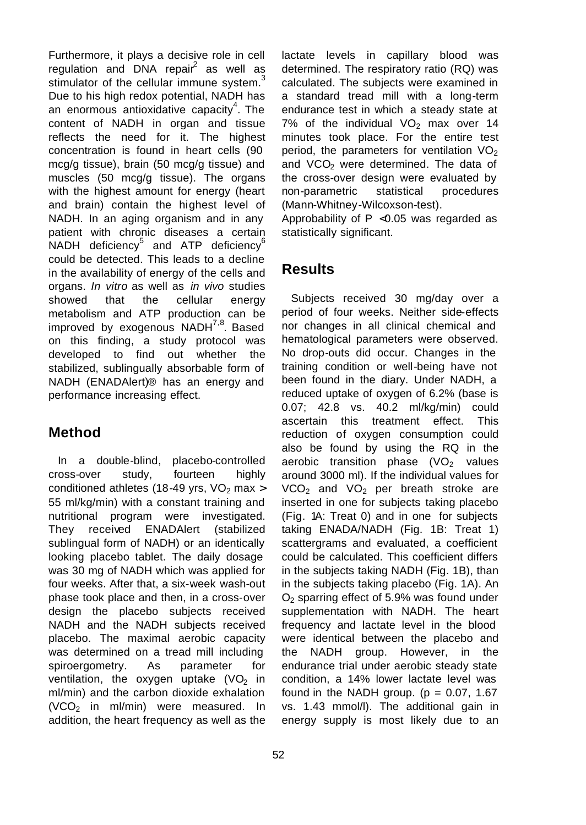Furthermore, it plays a decisive role in cell regulation and  $DNA$  repair<sup>2</sup> as well as stimulator of the cellular immune system. $3$ Due to his high redox potential, NADH has an enormous antioxidative capacity<sup>4</sup>. The content of NADH in organ and tissue reflects the need for it. The highest concentration is found in heart cells (90 mcg/g tissue), brain (50 mcg/g tissue) and muscles (50 mcg/g tissue). The organs with the highest amount for energy (heart and brain) contain the highest level of NADH. In an aging organism and in any patient with chronic diseases a certain .<br>NADH deficiency<sup>5</sup> and ATP deficiency<sup>6</sup> could be detected. This leads to a decline in the availability of energy of the cells and organs. *In vitro* as well as *in vivo* studies showed that the cellular energy metabolism and ATP production can be improved by exogenous NADH<sup>7,8</sup>. Based on this finding, a study protocol was developed to find out whether the stabilized, sublingually absorbable form of NADH (ENADAlert)® has an energy and performance increasing effect.

## **Method**

In a double-blind, placebo-controlled cross-over study, fourteen highly conditioned athletes (18-49 yrs,  $VO<sub>2</sub>$  max  $>$ 55 ml/kg/min) with a constant training and nutritional program were investigated. They received ENADAlert (stabilized sublingual form of NADH) or an identically looking placebo tablet. The daily dosage was 30 mg of NADH which was applied for four weeks. After that, a six-week wash-out phase took place and then, in a cross-over design the placebo subjects received NADH and the NADH subjects received placebo. The maximal aerobic capacity was determined on a tread mill including spiroergometry. As parameter for ventilation, the oxygen uptake  $(VO<sub>2</sub>$  in ml/min) and the carbon dioxide exhalation  $(VCO<sub>2</sub>$  in ml/min) were measured. In addition, the heart frequency as well as the

lactate levels in capillary blood was determined. The respiratory ratio (RQ) was calculated. The subjects were examined in a standard tread mill with a long-term endurance test in which a steady state at 7% of the individual  $VO<sub>2</sub>$  max over 14 minutes took place. For the entire test period, the parameters for ventilation  $VO<sub>2</sub>$ and VCO<sub>2</sub> were determined. The data of the cross-over design were evaluated by non-parametric statistical procedures (Mann-Whitney-Wilcoxson-test).

Approbability of P <0.05 was regarded as statistically significant.

## **Results**

Subjects received 30 mg/day over a period of four weeks. Neither side-effects nor changes in all clinical chemical and hematological parameters were observed. No drop-outs did occur. Changes in the training condition or well-being have not been found in the diary. Under NADH, a reduced uptake of oxygen of 6.2% (base is 0.07; 42.8 vs. 40.2 ml/kg/min) could ascertain this treatment effect. This reduction of oxygen consumption could also be found by using the RQ in the aerobic transition phase  $(VO<sub>2</sub>$  values around 3000 ml). If the individual values for  $VCO<sub>2</sub>$  and  $VO<sub>2</sub>$  per breath stroke are inserted in one for subjects taking placebo (Fig. 1A: Treat 0) and in one for subjects taking ENADA/NADH (Fig. 1B: Treat 1) scattergrams and evaluated, a coefficient could be calculated. This coefficient differs in the subjects taking NADH (Fig. 1B), than in the subjects taking placebo (Fig. 1A). An  $O<sub>2</sub>$  sparring effect of 5.9% was found under supplementation with NADH. The heart frequency and lactate level in the blood were identical between the placebo and the NADH group. However, in the endurance trial under aerobic steady state condition, a 14% lower lactate level was found in the NADH group. ( $p = 0.07, 1.67$ ) vs. 1.43 mmol/l). The additional gain in energy supply is most likely due to an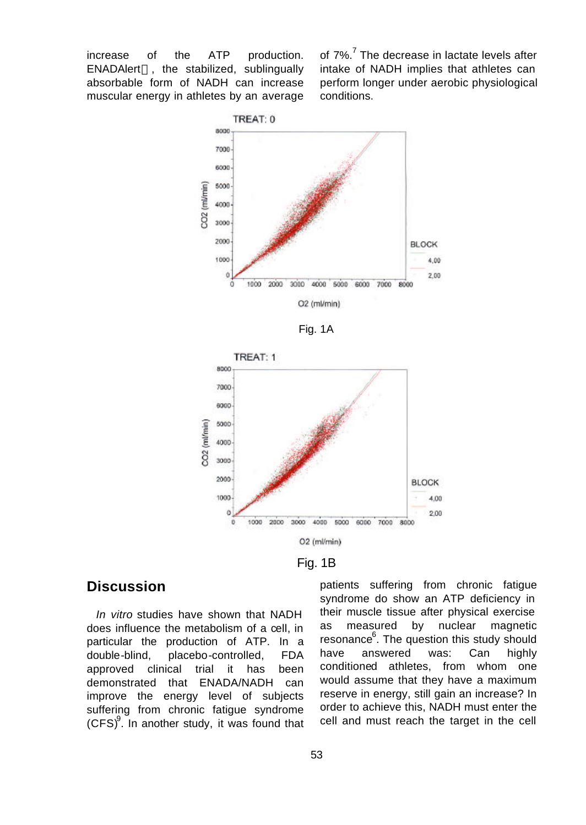increase of the ATP production.  $ENADAlert^{TM}$ , the stabilized, sublingually absorbable form of NADH can increase muscular energy in athletes by an average

of 7%.<sup>7</sup> The decrease in lactate levels after intake of NADH implies that athletes can perform longer under aerobic physiological conditions.



Fig. 1A





#### **Discussion**

*In vitro* studies have shown that NADH does influence the metabolism of a cell, in particular the production of ATP. In a double-blind, placebo-controlled, FDA approved clinical trial it has been demonstrated that ENADA/NADH can improve the energy level of subjects suffering from chronic fatigue syndrome  $(CFS)^9$ . In another study, it was found that

patients suffering from chronic fatigue syndrome do show an ATP deficiency in their muscle tissue after physical exercise as measured by nuclear magnetic resonance<sup>6</sup>. The question this study should have answered was: Can highly conditioned athletes, from whom one would assume that they have a maximum reserve in energy, still gain an increase? In order to achieve this, NADH must enter the cell and must reach the target in the cell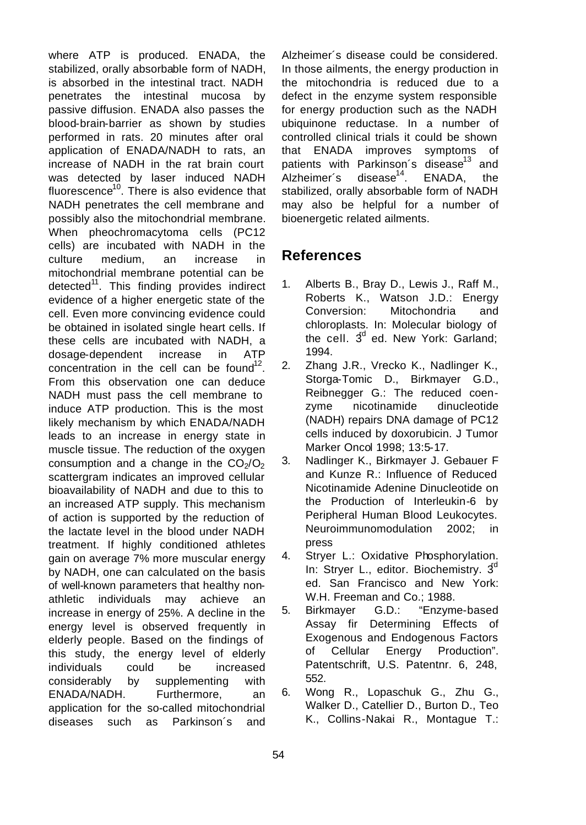where ATP is produced. ENADA, the stabilized, orally absorbable form of NADH, is absorbed in the intestinal tract. NADH penetrates the intestinal mucosa by passive diffusion. ENADA also passes the blood-brain-barrier as shown by studies performed in rats. 20 minutes after oral application of ENADA/NADH to rats, an increase of NADH in the rat brain court was detected by laser induced NADH fluorescence $10$ . There is also evidence that NADH penetrates the cell membrane and possibly also the mitochondrial membrane. When pheochromacytoma cells (PC12 cells) are incubated with NADH in the culture medium, an increase in mitochondrial membrane potential can be detected<sup>11</sup>. This finding provides indirect evidence of a higher energetic state of the cell. Even more convincing evidence could be obtained in isolated single heart cells. If these cells are incubated with NADH, a dosage-dependent increase in ATP concentration in the cell can be found<sup>12</sup>. From this observation one can deduce NADH must pass the cell membrane to induce ATP production. This is the most likely mechanism by which ENADA/NADH leads to an increase in energy state in muscle tissue. The reduction of the oxygen consumption and a change in the  $CO<sub>2</sub>/O<sub>2</sub>$ scattergram indicates an improved cellular bioavailability of NADH and due to this to an increased ATP supply. This mechanism of action is supported by the reduction of the lactate level in the blood under NADH treatment. If highly conditioned athletes gain on average 7% more muscular energy by NADH, one can calculated on the basis of well-known parameters that healthy nonathletic individuals may achieve an increase in energy of 25%. A decline in the energy level is observed frequently in elderly people. Based on the findings of this study, the energy level of elderly individuals could be increased considerably by supplementing with ENADA/NADH. Furthermore, an application for the so-called mitochondrial diseases such as Parkinson´s and

Alzheimer´s disease could be considered. In those ailments, the energy production in the mitochondria is reduced due to a defect in the enzyme system responsible for energy production such as the NADH ubiquinone reductase. In a number of controlled clinical trials it could be shown that ENADA improves symptoms of patients with Parkinson's disease<sup>13</sup> and Alzheimer's disease $14$ . ENADA, the stabilized, orally absorbable form of NADH may also be helpful for a number of bioenergetic related ailments.

## **References**

- 1. Alberts B., Bray D., Lewis J., Raff M., Roberts K., Watson J.D.: Energy Conversion: Mitochondria and chloroplasts. In: Molecular biology of the cell.  $3<sup>d</sup>$  ed. New York: Garland: 1994.
- 2. Zhang J.R., Vrecko K., Nadlinger K., Storga-Tomic D., Birkmayer G.D., Reibnegger G.: The reduced coenzyme nicotinamide dinucleotide (NADH) repairs DNA damage of PC12 cells induced by doxorubicin. J Tumor Marker Oncol 1998; 13:5-17.
- 3. Nadlinger K., Birkmayer J. Gebauer F and Kunze R.: Influence of Reduced Nicotinamide Adenine Dinucleotide on the Production of Interleukin-6 by Peripheral Human Blood Leukocytes. Neuroimmunomodulation 2002; in press
- 4. Stryer L.: Oxidative Phosphorylation. In: Stryer L., editor. Biochemistry.  $3<sup>d</sup>$ ed. San Francisco and New York: W.H. Freeman and Co.; 1988.
- 5. Birkmayer G.D.: "Enzyme-based Assay fir Determining Effects of Exogenous and Endogenous Factors of Cellular Energy Production". Patentschrift, U.S. Patentnr. 6, 248, 552.
- 6. Wong R., Lopaschuk G., Zhu G., Walker D., Catellier D., Burton D., Teo K., Collins-Nakai R., Montague T.: